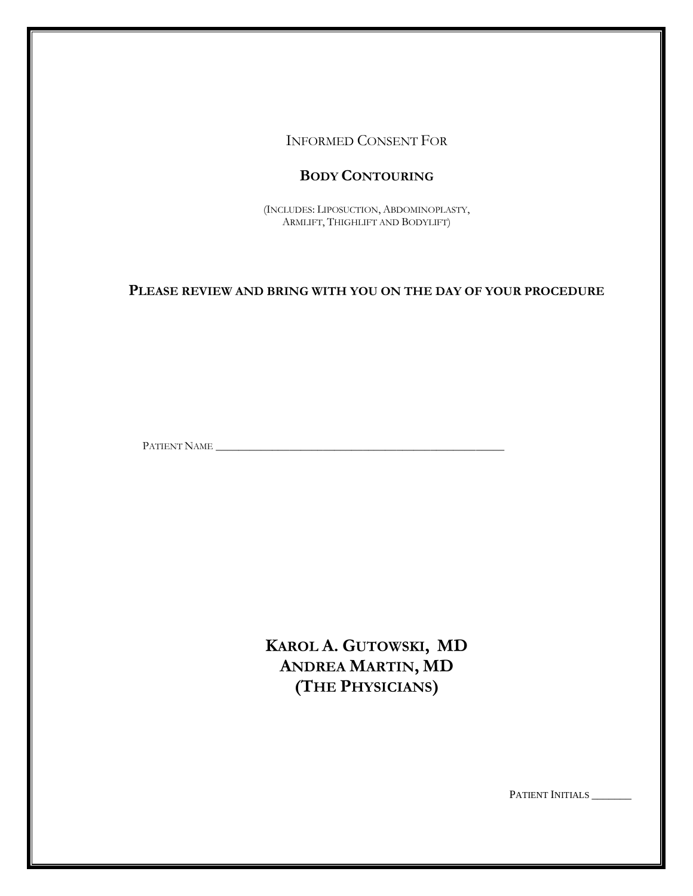INFORMED CONSENT FOR

# **BODY CONTOURING**

(INCLUDES: LIPOSUCTION, ABDOMINOPLASTY, ARMLIFT, THIGHLIFT AND BODYLIFT)

**PLEASE REVIEW AND BRING WITH YOU ON THE DAY OF YOUR PROCEDURE**

PATIENT NAME \_\_\_\_\_\_\_\_\_\_\_\_\_\_\_\_\_\_\_\_\_\_\_\_\_\_\_\_\_\_\_\_\_\_\_\_\_\_\_\_\_\_\_\_\_\_\_\_\_\_\_

**KAROL A. GUTOWSKI, MD ANDREA MARTIN, MD (THE PHYSICIANS)**

PATIENT INITIALS \_\_\_\_\_\_\_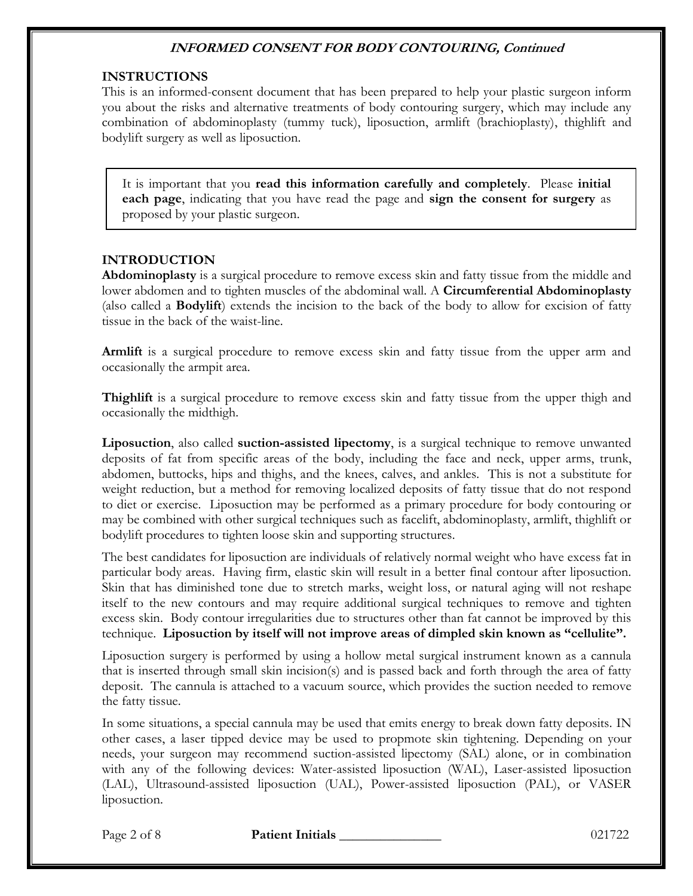#### **INSTRUCTIONS**

This is an informed-consent document that has been prepared to help your plastic surgeon inform you about the risks and alternative treatments of body contouring surgery, which may include any combination of abdominoplasty (tummy tuck), liposuction, armlift (brachioplasty), thighlift and bodylift surgery as well as liposuction.

It is important that you **read this information carefully and completely**. Please **initial each page**, indicating that you have read the page and **sign the consent for surgery** as proposed by your plastic surgeon.

### **INTRODUCTION**

**Abdominoplasty** is a surgical procedure to remove excess skin and fatty tissue from the middle and lower abdomen and to tighten muscles of the abdominal wall. A **Circumferential Abdominoplasty** (also called a **Bodylift**) extends the incision to the back of the body to allow for excision of fatty tissue in the back of the waist-line.

**Armlift** is a surgical procedure to remove excess skin and fatty tissue from the upper arm and occasionally the armpit area.

**Thighlift** is a surgical procedure to remove excess skin and fatty tissue from the upper thigh and occasionally the midthigh.

**Liposuction**, also called **suction-assisted lipectomy**, is a surgical technique to remove unwanted deposits of fat from specific areas of the body, including the face and neck, upper arms, trunk, abdomen, buttocks, hips and thighs, and the knees, calves, and ankles. This is not a substitute for weight reduction, but a method for removing localized deposits of fatty tissue that do not respond to diet or exercise. Liposuction may be performed as a primary procedure for body contouring or may be combined with other surgical techniques such as facelift, abdominoplasty, armlift, thighlift or bodylift procedures to tighten loose skin and supporting structures.

The best candidates for liposuction are individuals of relatively normal weight who have excess fat in particular body areas. Having firm, elastic skin will result in a better final contour after liposuction. Skin that has diminished tone due to stretch marks, weight loss, or natural aging will not reshape itself to the new contours and may require additional surgical techniques to remove and tighten excess skin. Body contour irregularities due to structures other than fat cannot be improved by this technique. **Liposuction by itself will not improve areas of dimpled skin known as "cellulite".**

Liposuction surgery is performed by using a hollow metal surgical instrument known as a cannula that is inserted through small skin incision(s) and is passed back and forth through the area of fatty deposit. The cannula is attached to a vacuum source, which provides the suction needed to remove the fatty tissue.

In some situations, a special cannula may be used that emits energy to break down fatty deposits. IN other cases, a laser tipped device may be used to propmote skin tightening. Depending on your needs, your surgeon may recommend suction-assisted lipectomy (SAL) alone, or in combination with any of the following devices: Water-assisted liposuction (WAL), Laser-assisted liposuction (LAL), Ultrasound-assisted liposuction (UAL), Power-assisted liposuction (PAL), or VASER liposuction.

Page 2 of 8 **Patient Initials 1996 Page 2 of 8** 021722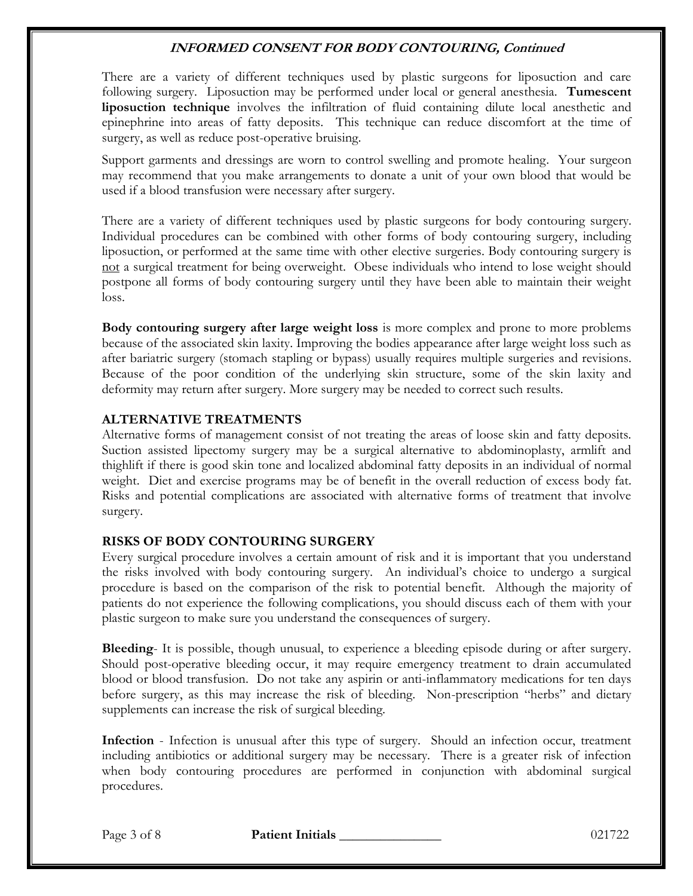There are a variety of different techniques used by plastic surgeons for liposuction and care following surgery. Liposuction may be performed under local or general anesthesia. **Tumescent liposuction technique** involves the infiltration of fluid containing dilute local anesthetic and epinephrine into areas of fatty deposits. This technique can reduce discomfort at the time of surgery, as well as reduce post-operative bruising.

Support garments and dressings are worn to control swelling and promote healing. Your surgeon may recommend that you make arrangements to donate a unit of your own blood that would be used if a blood transfusion were necessary after surgery.

There are a variety of different techniques used by plastic surgeons for body contouring surgery. Individual procedures can be combined with other forms of body contouring surgery, including liposuction, or performed at the same time with other elective surgeries. Body contouring surgery is not a surgical treatment for being overweight. Obese individuals who intend to lose weight should postpone all forms of body contouring surgery until they have been able to maintain their weight loss.

**Body contouring surgery after large weight loss** is more complex and prone to more problems because of the associated skin laxity. Improving the bodies appearance after large weight loss such as after bariatric surgery (stomach stapling or bypass) usually requires multiple surgeries and revisions. Because of the poor condition of the underlying skin structure, some of the skin laxity and deformity may return after surgery. More surgery may be needed to correct such results.

### **ALTERNATIVE TREATMENTS**

Alternative forms of management consist of not treating the areas of loose skin and fatty deposits. Suction assisted lipectomy surgery may be a surgical alternative to abdominoplasty, armlift and thighlift if there is good skin tone and localized abdominal fatty deposits in an individual of normal weight. Diet and exercise programs may be of benefit in the overall reduction of excess body fat. Risks and potential complications are associated with alternative forms of treatment that involve surgery.

### **RISKS OF BODY CONTOURING SURGERY**

Every surgical procedure involves a certain amount of risk and it is important that you understand the risks involved with body contouring surgery. An individual's choice to undergo a surgical procedure is based on the comparison of the risk to potential benefit. Although the majority of patients do not experience the following complications, you should discuss each of them with your plastic surgeon to make sure you understand the consequences of surgery.

**Bleeding**- It is possible, though unusual, to experience a bleeding episode during or after surgery. Should post-operative bleeding occur, it may require emergency treatment to drain accumulated blood or blood transfusion. Do not take any aspirin or anti-inflammatory medications for ten days before surgery, as this may increase the risk of bleeding. Non-prescription "herbs" and dietary supplements can increase the risk of surgical bleeding.

**Infection** - Infection is unusual after this type of surgery. Should an infection occur, treatment including antibiotics or additional surgery may be necessary. There is a greater risk of infection when body contouring procedures are performed in conjunction with abdominal surgical procedures.

Page 3 of 8 **Patient Initials Patient Initials Page 3 of 8** 021722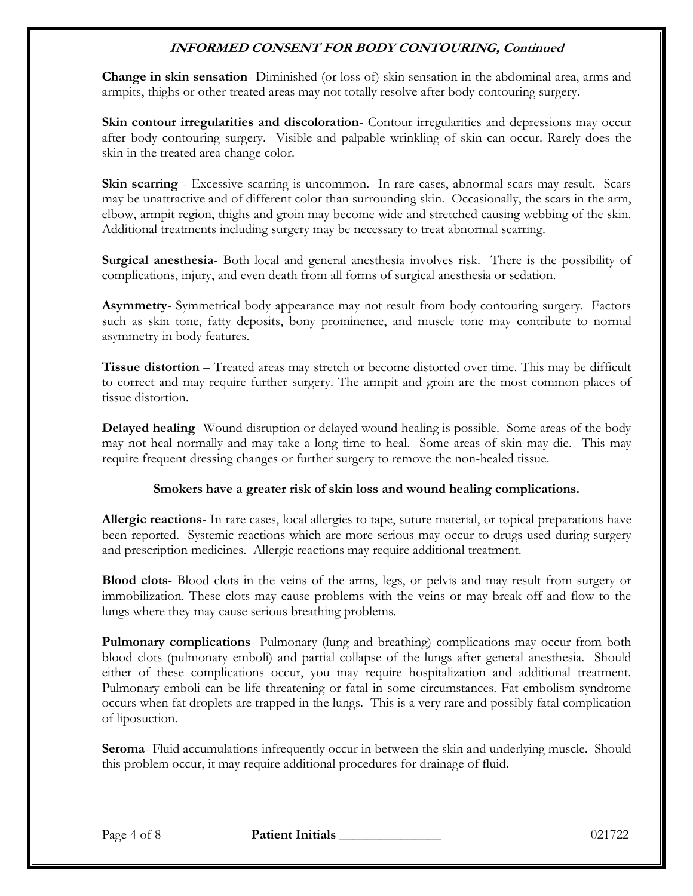**Change in skin sensation**- Diminished (or loss of) skin sensation in the abdominal area, arms and armpits, thighs or other treated areas may not totally resolve after body contouring surgery.

**Skin contour irregularities and discoloration**- Contour irregularities and depressions may occur after body contouring surgery. Visible and palpable wrinkling of skin can occur. Rarely does the skin in the treated area change color.

**Skin scarring** - Excessive scarring is uncommon. In rare cases, abnormal scars may result. Scars may be unattractive and of different color than surrounding skin. Occasionally, the scars in the arm, elbow, armpit region, thighs and groin may become wide and stretched causing webbing of the skin. Additional treatments including surgery may be necessary to treat abnormal scarring.

**Surgical anesthesia**- Both local and general anesthesia involves risk. There is the possibility of complications, injury, and even death from all forms of surgical anesthesia or sedation.

**Asymmetry**- Symmetrical body appearance may not result from body contouring surgery. Factors such as skin tone, fatty deposits, bony prominence, and muscle tone may contribute to normal asymmetry in body features.

**Tissue distortion** – Treated areas may stretch or become distorted over time. This may be difficult to correct and may require further surgery. The armpit and groin are the most common places of tissue distortion.

**Delayed healing**- Wound disruption or delayed wound healing is possible. Some areas of the body may not heal normally and may take a long time to heal. Some areas of skin may die. This may require frequent dressing changes or further surgery to remove the non-healed tissue.

### **Smokers have a greater risk of skin loss and wound healing complications.**

**Allergic reactions**- In rare cases, local allergies to tape, suture material, or topical preparations have been reported. Systemic reactions which are more serious may occur to drugs used during surgery and prescription medicines. Allergic reactions may require additional treatment.

**Blood clots**- Blood clots in the veins of the arms, legs, or pelvis and may result from surgery or immobilization. These clots may cause problems with the veins or may break off and flow to the lungs where they may cause serious breathing problems.

**Pulmonary complications**- Pulmonary (lung and breathing) complications may occur from both blood clots (pulmonary emboli) and partial collapse of the lungs after general anesthesia. Should either of these complications occur, you may require hospitalization and additional treatment. Pulmonary emboli can be life-threatening or fatal in some circumstances. Fat embolism syndrome occurs when fat droplets are trapped in the lungs. This is a very rare and possibly fatal complication of liposuction.

**Seroma**- Fluid accumulations infrequently occur in between the skin and underlying muscle. Should this problem occur, it may require additional procedures for drainage of fluid.

Page 4 of 8 **Patient Initials 1996 Page 4 of 8** 021722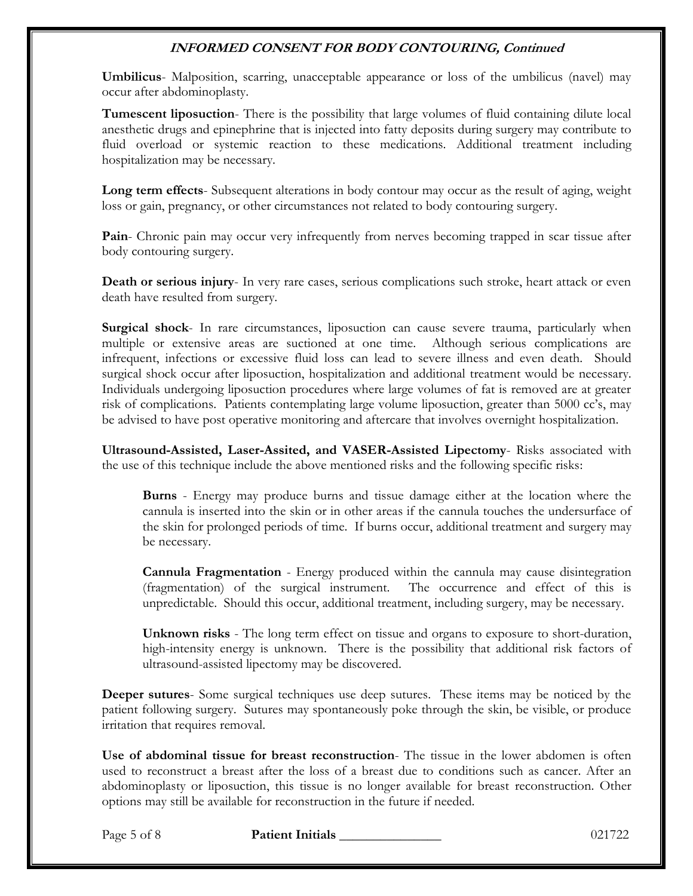**Umbilicus**- Malposition, scarring, unacceptable appearance or loss of the umbilicus (navel) may occur after abdominoplasty.

**Tumescent liposuction**- There is the possibility that large volumes of fluid containing dilute local anesthetic drugs and epinephrine that is injected into fatty deposits during surgery may contribute to fluid overload or systemic reaction to these medications. Additional treatment including hospitalization may be necessary.

**Long term effects**- Subsequent alterations in body contour may occur as the result of aging, weight loss or gain, pregnancy, or other circumstances not related to body contouring surgery.

Pain- Chronic pain may occur very infrequently from nerves becoming trapped in scar tissue after body contouring surgery.

**Death or serious injury**- In very rare cases, serious complications such stroke, heart attack or even death have resulted from surgery.

**Surgical shock**- In rare circumstances, liposuction can cause severe trauma, particularly when multiple or extensive areas are suctioned at one time. Although serious complications are infrequent, infections or excessive fluid loss can lead to severe illness and even death. Should surgical shock occur after liposuction, hospitalization and additional treatment would be necessary. Individuals undergoing liposuction procedures where large volumes of fat is removed are at greater risk of complications. Patients contemplating large volume liposuction, greater than 5000 cc's, may be advised to have post operative monitoring and aftercare that involves overnight hospitalization.

**Ultrasound-Assisted, Laser-Assited, and VASER-Assisted Lipectomy**- Risks associated with the use of this technique include the above mentioned risks and the following specific risks:

**Burns** - Energy may produce burns and tissue damage either at the location where the cannula is inserted into the skin or in other areas if the cannula touches the undersurface of the skin for prolonged periods of time. If burns occur, additional treatment and surgery may be necessary.

**Cannula Fragmentation** - Energy produced within the cannula may cause disintegration (fragmentation) of the surgical instrument. The occurrence and effect of this is unpredictable. Should this occur, additional treatment, including surgery, may be necessary.

**Unknown risks** - The long term effect on tissue and organs to exposure to short-duration, high-intensity energy is unknown. There is the possibility that additional risk factors of ultrasound-assisted lipectomy may be discovered.

**Deeper sutures**- Some surgical techniques use deep sutures. These items may be noticed by the patient following surgery. Sutures may spontaneously poke through the skin, be visible, or produce irritation that requires removal.

**Use of abdominal tissue for breast reconstruction**- The tissue in the lower abdomen is often used to reconstruct a breast after the loss of a breast due to conditions such as cancer. After an abdominoplasty or liposuction, this tissue is no longer available for breast reconstruction. Other options may still be available for reconstruction in the future if needed.

Page 5 of 8 **Patient Initials 1996 Page 5 of 8** 021722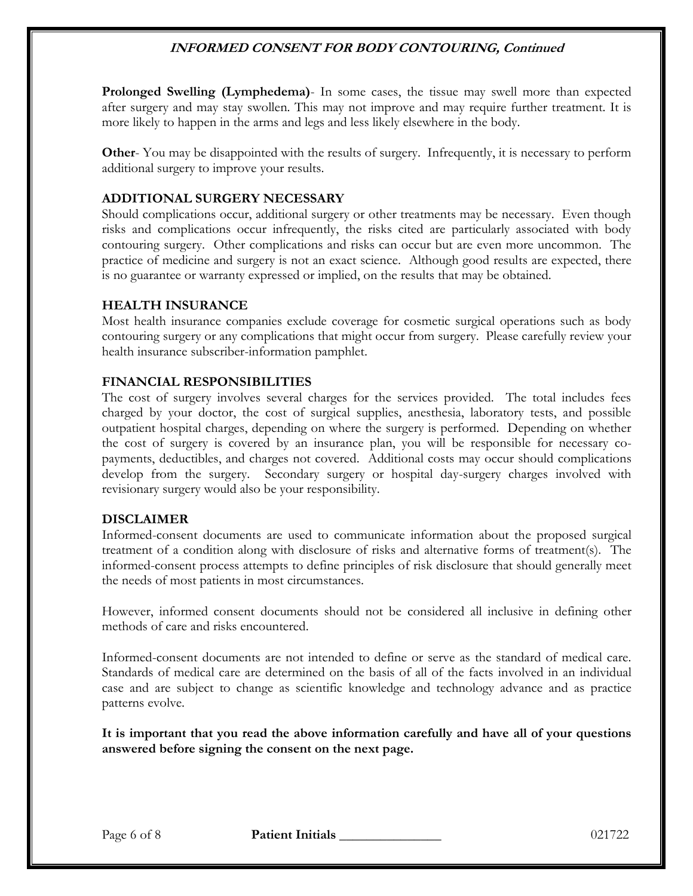**Prolonged Swelling (Lymphedema)**- In some cases, the tissue may swell more than expected after surgery and may stay swollen. This may not improve and may require further treatment. It is more likely to happen in the arms and legs and less likely elsewhere in the body.

**Other-** You may be disappointed with the results of surgery. Infrequently, it is necessary to perform additional surgery to improve your results.

## **ADDITIONAL SURGERY NECESSARY**

Should complications occur, additional surgery or other treatments may be necessary. Even though risks and complications occur infrequently, the risks cited are particularly associated with body contouring surgery. Other complications and risks can occur but are even more uncommon. The practice of medicine and surgery is not an exact science. Although good results are expected, there is no guarantee or warranty expressed or implied, on the results that may be obtained.

### **HEALTH INSURANCE**

Most health insurance companies exclude coverage for cosmetic surgical operations such as body contouring surgery or any complications that might occur from surgery. Please carefully review your health insurance subscriber-information pamphlet.

### **FINANCIAL RESPONSIBILITIES**

The cost of surgery involves several charges for the services provided. The total includes fees charged by your doctor, the cost of surgical supplies, anesthesia, laboratory tests, and possible outpatient hospital charges, depending on where the surgery is performed. Depending on whether the cost of surgery is covered by an insurance plan, you will be responsible for necessary copayments, deductibles, and charges not covered. Additional costs may occur should complications develop from the surgery. Secondary surgery or hospital day-surgery charges involved with revisionary surgery would also be your responsibility.

### **DISCLAIMER**

Informed-consent documents are used to communicate information about the proposed surgical treatment of a condition along with disclosure of risks and alternative forms of treatment(s). The informed-consent process attempts to define principles of risk disclosure that should generally meet the needs of most patients in most circumstances.

However, informed consent documents should not be considered all inclusive in defining other methods of care and risks encountered.

Informed-consent documents are not intended to define or serve as the standard of medical care. Standards of medical care are determined on the basis of all of the facts involved in an individual case and are subject to change as scientific knowledge and technology advance and as practice patterns evolve.

**It is important that you read the above information carefully and have all of your questions answered before signing the consent on the next page.**

Page 6 of 8 **Patient Initials** 1021722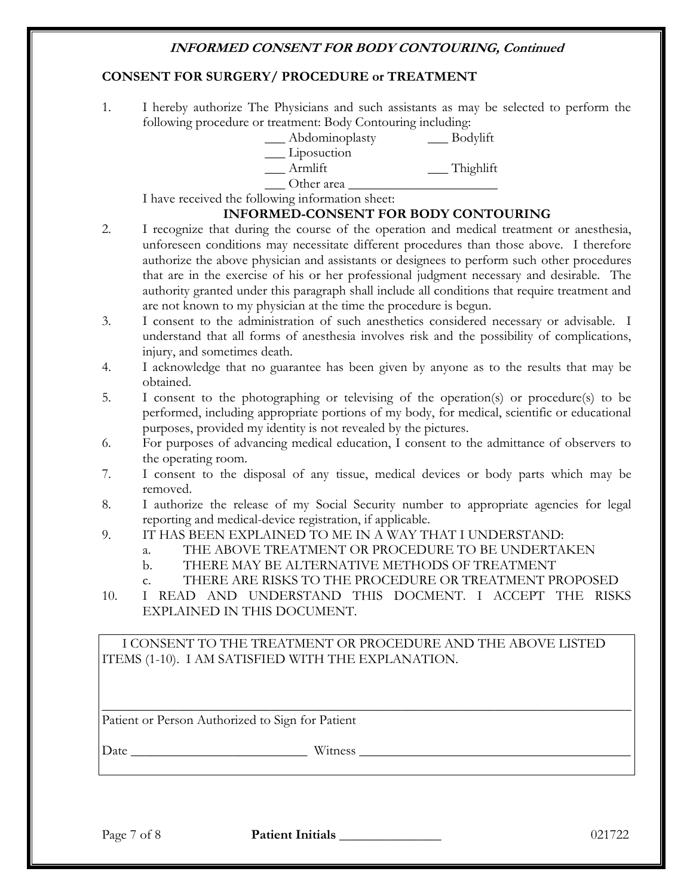### **CONSENT FOR SURGERY/ PROCEDURE or TREATMENT**

1. I hereby authorize The Physicians and such assistants as may be selected to perform the following procedure or treatment: Body Contouring including:

| Abdominoplasty | Bodylift |
|----------------|----------|
| Liposuction    |          |

\_\_ Armlift \_\_\_ Thighlift

 $\Box$  Other area  $\Box$ 

I have received the following information sheet:

# **INFORMED-CONSENT FOR BODY CONTOURING**

- 2. I recognize that during the course of the operation and medical treatment or anesthesia, unforeseen conditions may necessitate different procedures than those above. I therefore authorize the above physician and assistants or designees to perform such other procedures that are in the exercise of his or her professional judgment necessary and desirable. The authority granted under this paragraph shall include all conditions that require treatment and are not known to my physician at the time the procedure is begun.
- 3. I consent to the administration of such anesthetics considered necessary or advisable. I understand that all forms of anesthesia involves risk and the possibility of complications, injury, and sometimes death.
- 4. I acknowledge that no guarantee has been given by anyone as to the results that may be obtained.
- 5. I consent to the photographing or televising of the operation(s) or procedure(s) to be performed, including appropriate portions of my body, for medical, scientific or educational purposes, provided my identity is not revealed by the pictures.
- 6. For purposes of advancing medical education, I consent to the admittance of observers to the operating room.
- 7. I consent to the disposal of any tissue, medical devices or body parts which may be removed.
- 8. I authorize the release of my Social Security number to appropriate agencies for legal reporting and medical-device registration, if applicable.
- 9. IT HAS BEEN EXPLAINED TO ME IN A WAY THAT I UNDERSTAND:
	- a. THE ABOVE TREATMENT OR PROCEDURE TO BE UNDERTAKEN
	- b. THERE MAY BE ALTERNATIVE METHODS OF TREATMENT
	- c. THERE ARE RISKS TO THE PROCEDURE OR TREATMENT PROPOSED
- 10. I READ AND UNDERSTAND THIS DOCMENT. I ACCEPT THE RISKS EXPLAINED IN THIS DOCUMENT.

\_\_\_\_\_\_\_\_\_\_\_\_\_\_\_\_\_\_\_\_\_\_\_\_\_\_\_\_\_\_\_\_\_\_\_\_\_\_\_\_\_\_\_\_\_\_\_\_\_\_\_\_\_\_\_\_\_\_\_\_\_\_\_\_\_\_\_\_\_\_\_\_\_\_\_\_\_\_

I CONSENT TO THE TREATMENT OR PROCEDURE AND THE ABOVE LISTED ITEMS (1-10). I AM SATISFIED WITH THE EXPLANATION.

Patient or Person Authorized to Sign for Patient

Date \_\_\_\_\_\_\_\_\_\_\_\_\_\_\_\_\_\_\_\_\_\_\_\_\_\_ Witness \_\_\_\_\_\_\_\_\_\_\_\_\_\_\_\_\_\_\_\_\_\_\_\_\_\_\_\_\_\_\_\_\_\_\_\_\_\_\_\_

Page 7 of 8 **Patient Initials 1998 Patient Initials** 1021722